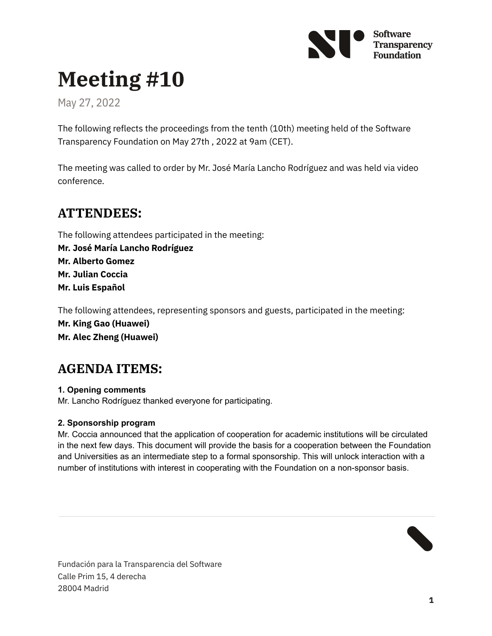

# **Meeting #10**

May 27, 2022

The following reflects the proceedings from the tenth (10th) meeting held of the Software Transparency Foundation on May 27th , 2022 at 9am (CET).

The meeting was called to order by Mr. José María Lancho Rodríguez and was held via video conference.

# **ATTENDEES:**

The following attendees participated in the meeting: **Mr. José María Lancho Rodríguez Mr. Alberto Gomez Mr. Julian Coccia Mr. Luis Español**

The following attendees, representing sponsors and guests, participated in the meeting:

**Mr. King Gao (Huawei) Mr. Alec Zheng (Huawei)**

# **AGENDA ITEMS:**

**1. Opening comments** Mr. Lancho Rodríguez thanked everyone for participating.

## **2. Sponsorship program**

Mr. Coccia announced that the application of cooperation for academic institutions will be circulated in the next few days. This document will provide the basis for a cooperation between the Foundation and Universities as an intermediate step to a formal sponsorship. This will unlock interaction with a number of institutions with interest in cooperating with the Foundation on a non-sponsor basis.



Fundación para la Transparencia del Software Calle Prim 15, 4 derecha 28004 Madrid